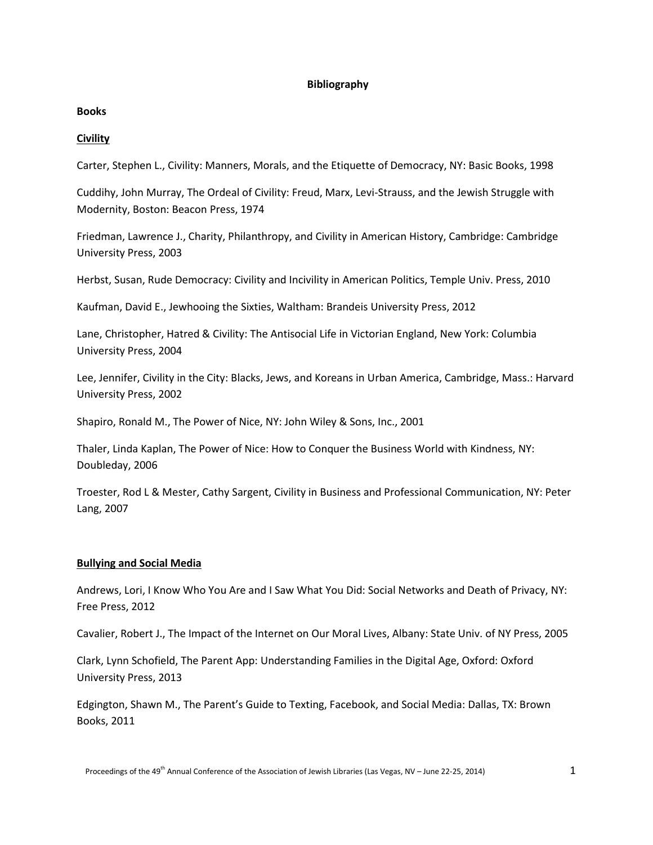## **Bibliography**

## **Books**

# **Civility**

Carter, Stephen L., Civility: Manners, Morals, and the Etiquette of Democracy, NY: Basic Books, 1998

Cuddihy, John Murray, The Ordeal of Civility: Freud, Marx, Levi-Strauss, and the Jewish Struggle with Modernity, Boston: Beacon Press, 1974

Friedman, Lawrence J., Charity, Philanthropy, and Civility in American History, Cambridge: Cambridge University Press, 2003

Herbst, Susan, Rude Democracy: Civility and Incivility in American Politics, Temple Univ. Press, 2010

Kaufman, David E., Jewhooing the Sixties, Waltham: Brandeis University Press, 2012

Lane, Christopher, Hatred & Civility: The Antisocial Life in Victorian England, New York: Columbia University Press, 2004

Lee, Jennifer, Civility in the City: Blacks, Jews, and Koreans in Urban America, Cambridge, Mass.: Harvard University Press, 2002

Shapiro, Ronald M., The Power of Nice, NY: John Wiley & Sons, Inc., 2001

Thaler, Linda Kaplan, The Power of Nice: How to Conquer the Business World with Kindness, NY: Doubleday, 2006

Troester, Rod L & Mester, Cathy Sargent, Civility in Business and Professional Communication, NY: Peter Lang, 2007

# **Bullying and Social Media**

Andrews, Lori, I Know Who You Are and I Saw What You Did: Social Networks and Death of Privacy, NY: Free Press, 2012

Cavalier, Robert J., The Impact of the Internet on Our Moral Lives, Albany: State Univ. of NY Press, 2005

Clark, Lynn Schofield, The Parent App: Understanding Families in the Digital Age, Oxford: Oxford University Press, 2013

Edgington, Shawn M., The Parent's Guide to Texting, Facebook, and Social Media: Dallas, TX: Brown Books, 2011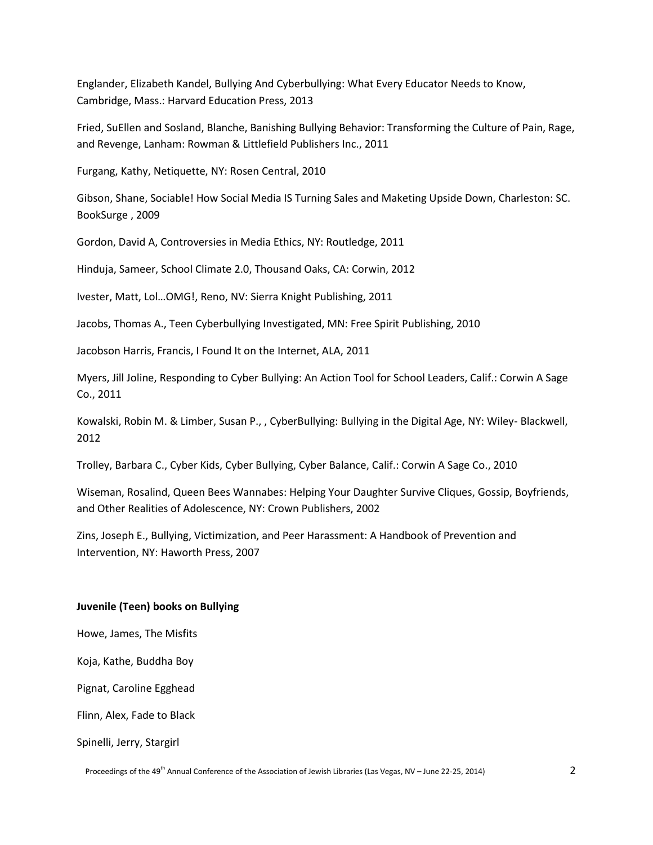Englander, Elizabeth Kandel, Bullying And Cyberbullying: What Every Educator Needs to Know, Cambridge, Mass.: Harvard Education Press, 2013

Fried, SuEllen and Sosland, Blanche, Banishing Bullying Behavior: Transforming the Culture of Pain, Rage, and Revenge, Lanham: Rowman & Littlefield Publishers Inc., 2011

Furgang, Kathy, Netiquette, NY: Rosen Central, 2010

Gibson, Shane, Sociable! How Social Media IS Turning Sales and Maketing Upside Down, Charleston: SC. BookSurge , 2009

Gordon, David A, Controversies in Media Ethics, NY: Routledge, 2011

Hinduja, Sameer, School Climate 2.0, Thousand Oaks, CA: Corwin, 2012

Ivester, Matt, Lol…OMG!, Reno, NV: Sierra Knight Publishing, 2011

Jacobs, Thomas A., Teen Cyberbullying Investigated, MN: Free Spirit Publishing, 2010

Jacobson Harris, Francis, I Found It on the Internet, ALA, 2011

Myers, Jill Joline, Responding to Cyber Bullying: An Action Tool for School Leaders, Calif.: Corwin A Sage Co., 2011

Kowalski, Robin M. & Limber, Susan P., , CyberBullying: Bullying in the Digital Age, NY: Wiley- Blackwell, 2012

Trolley, Barbara C., Cyber Kids, Cyber Bullying, Cyber Balance, Calif.: Corwin A Sage Co., 2010

Wiseman, Rosalind, Queen Bees Wannabes: Helping Your Daughter Survive Cliques, Gossip, Boyfriends, and Other Realities of Adolescence, NY: Crown Publishers, 2002

Zins, Joseph E., Bullying, Victimization, and Peer Harassment: A Handbook of Prevention and Intervention, NY: Haworth Press, 2007

### **Juvenile (Teen) books on Bullying**

Howe, James, The Misfits

Koja, Kathe, Buddha Boy

Pignat, Caroline Egghead

Flinn, Alex, Fade to Black

Spinelli, Jerry, Stargirl

Proceedings of the 49<sup>th</sup> Annual Conference of the Association of Jewish Libraries (Las Vegas, NV – June 22-25, 2014) 2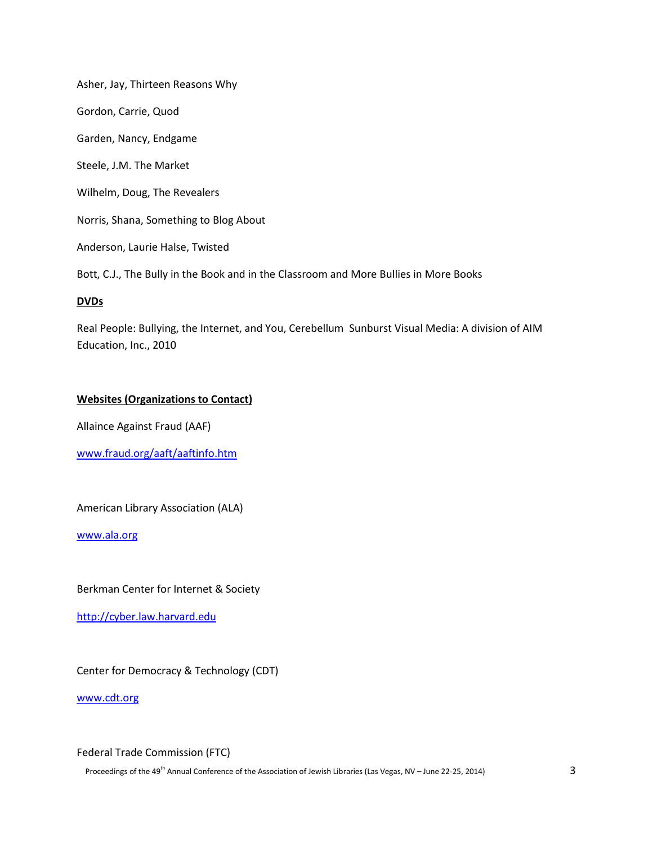Asher, Jay, Thirteen Reasons Why Gordon, Carrie, Quod Garden, Nancy, Endgame Steele, J.M. The Market Wilhelm, Doug, The Revealers Norris, Shana, Something to Blog About Anderson, Laurie Halse, Twisted Bott, C.J., The Bully in the Book and in the Classroom and More Bullies in More Books

## **DVDs**

Real People: Bullying, the Internet, and You, Cerebellum Sunburst Visual Media: A division of AIM Education, Inc., 2010

## **Websites (Organizations to Contact)**

Allaince Against Fraud (AAF)

[www.fraud.org/aaft/aaftinfo.htm](http://www.fraud.org/aaft/aaftinfo.htm)

American Library Association (ALA)

[www.ala.org](http://www.ala.org/)

Berkman Center for Internet & Society

[http://cyber.law.harvard.edu](http://cyber.law.harvard.edu/)

Center for Democracy & Technology (CDT)

[www.cdt.org](http://www.cdt.org/)

## Federal Trade Commission (FTC)

Proceedings of the 49<sup>th</sup> Annual Conference of the Association of Jewish Libraries (Las Vegas, NV – June 22-25, 2014) 3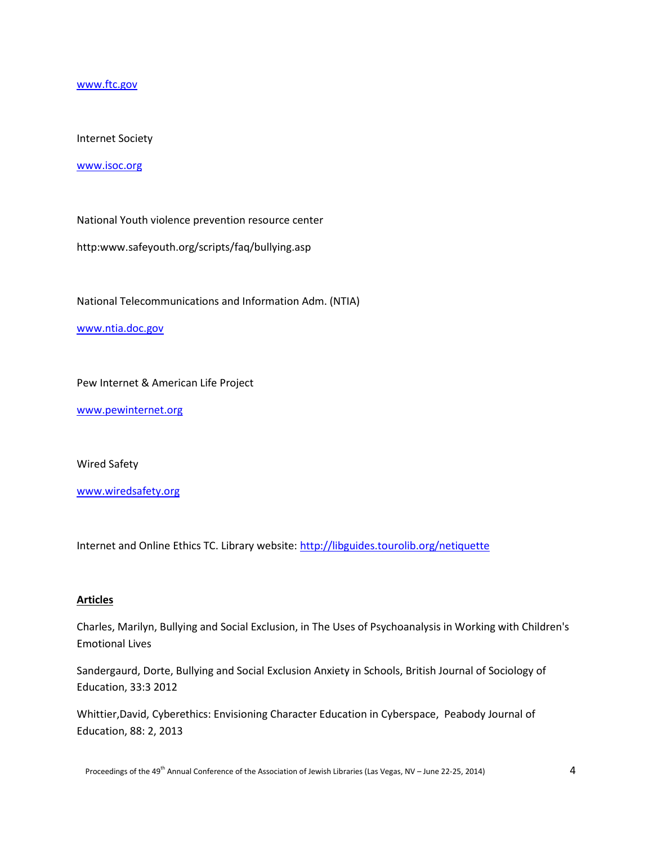[www.ftc.gov](http://www.ftc.gov/)

## Internet Society

#### [www.isoc.org](http://www.isoc.org/)

National Youth violence prevention resource center

http:www.safeyouth.org/scripts/faq/bullying.asp

National Telecommunications and Information Adm. (NTIA)

### [www.ntia.doc.gov](http://www.ntia.doc.gov/)

Pew Internet & American Life Project

[www.pewinternet.org](http://www.pewinternet.org/)

Wired Safety

[www.wiredsafety.org](http://www.wiredsafety.org/)

Internet and Online Ethics TC. Library website:<http://libguides.tourolib.org/netiquette>

### **Articles**

Charles, Marilyn, Bullying and Social Exclusion, in The Uses of Psychoanalysis in Working with Children's Emotional Lives

Sandergaurd, Dorte, Bullying and Social Exclusion Anxiety in Schools, British Journal of Sociology of Education, 33:3 2012

Whittier,David, Cyberethics: Envisioning Character Education in Cyberspace, Peabody Journal of Education, 88: 2, 2013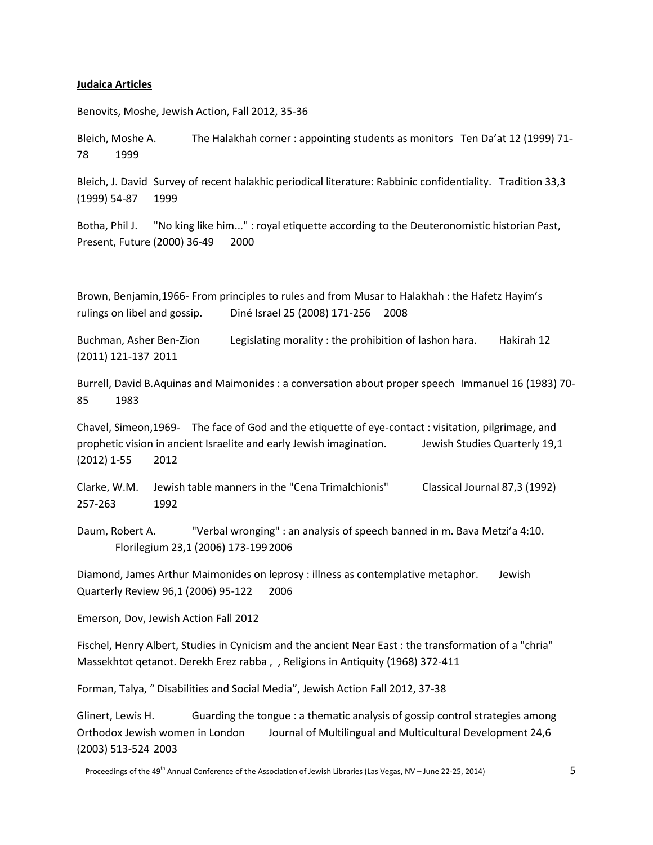#### **Judaica Articles**

Benovits, Moshe, Jewish Action, Fall 2012, 35-36

Bleich, Moshe A. The Halakhah corner : appointing students as monitors Ten Da'at 12 (1999) 71- 78 1999

Bleich, J. David Survey of recent halakhic periodical literature: Rabbinic confidentiality. Tradition 33,3 (1999) 54-87 1999

Botha, Phil J. "No king like him..." : royal etiquette according to the Deuteronomistic historian Past, Present, Future (2000) 36-49 2000

Brown, Benjamin,1966- From principles to rules and from Musar to Halakhah : the Hafetz Hayim's rulings on libel and gossip. Diné Israel 25 (2008) 171-256 2008

Buchman, Asher Ben-Zion Legislating morality : the prohibition of lashon hara. Hakirah 12 (2011) 121-137 2011

Burrell, David B.Aquinas and Maimonides : a conversation about proper speech Immanuel 16 (1983) 70- 85 1983

Chavel, Simeon,1969- The face of God and the etiquette of eye-contact : visitation, pilgrimage, and prophetic vision in ancient Israelite and early Jewish imagination. Jewish Studies Quarterly 19,1 (2012) 1-55 2012

Clarke, W.M. Jewish table manners in the "Cena Trimalchionis" Classical Journal 87,3 (1992) 257-263 1992

Daum, Robert A. "Verbal wronging" : an analysis of speech banned in m. Bava Metzi'a 4:10. Florilegium 23,1 (2006) 173-1992006

Diamond, James Arthur Maimonides on leprosy : illness as contemplative metaphor. Jewish Quarterly Review 96,1 (2006) 95-122 2006

Emerson, Dov, Jewish Action Fall 2012

Fischel, Henry Albert, Studies in Cynicism and the ancient Near East : the transformation of a "chria" Massekhtot qetanot. Derekh Erez rabba , , Religions in Antiquity (1968) 372-411

Forman, Talya, " Disabilities and Social Media", Jewish Action Fall 2012, 37-38

Glinert, Lewis H. Guarding the tongue : a thematic analysis of gossip control strategies among Orthodox Jewish women in London Journal of Multilingual and Multicultural Development 24,6 (2003) 513-524 2003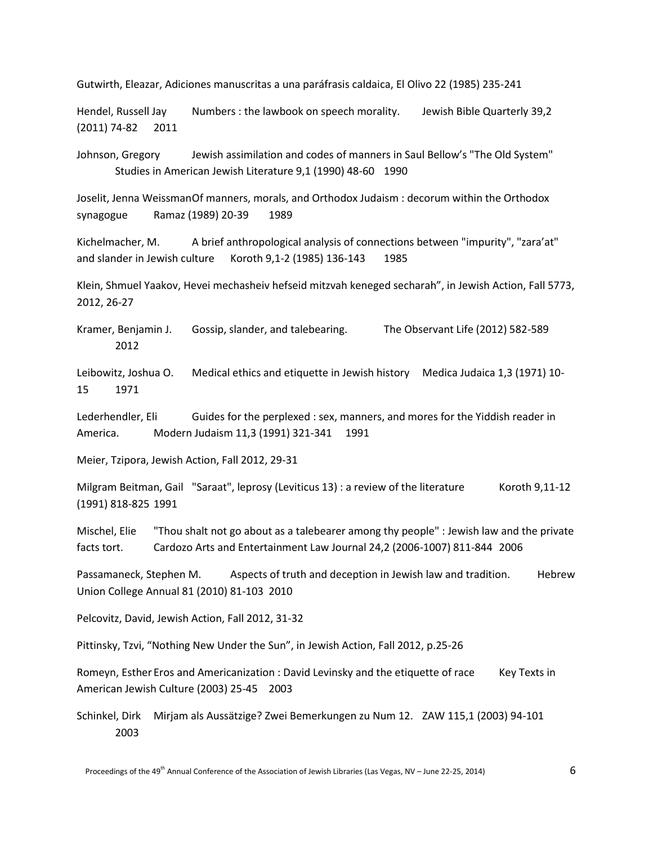Gutwirth, Eleazar, Adiciones manuscritas a una paráfrasis caldaica, El Olivo 22 (1985) 235-241

Hendel, Russell Jay Numbers : the lawbook on speech morality. Jewish Bible Quarterly 39,2 (2011) 74-82 2011

Johnson, Gregory Jewish assimilation and codes of manners in Saul Bellow's "The Old System" Studies in American Jewish Literature 9,1 (1990) 48-60 1990

Joselit, Jenna WeissmanOf manners, morals, and Orthodox Judaism : decorum within the Orthodox synagogue Ramaz (1989) 20-39 1989

Kichelmacher, M. A brief anthropological analysis of connections between "impurity", "zara'at" and slander in Jewish culture Koroth 9,1-2 (1985) 136-143 1985

Klein, Shmuel Yaakov, Hevei mechasheiv hefseid mitzvah keneged secharah", in Jewish Action, Fall 5773, 2012, 26-27

Kramer, Benjamin J. Gossip, slander, and talebearing. The Observant Life (2012) 582-589 2012

Leibowitz, Joshua O. Medical ethics and etiquette in Jewish history Medica Judaica 1,3 (1971) 10- 15 1971

Lederhendler, Eli Guides for the perplexed : sex, manners, and mores for the Yiddish reader in America. Modern Judaism 11,3 (1991) 321-341 1991

Meier, Tzipora, Jewish Action, Fall 2012, 29-31

Milgram Beitman, Gail "Saraat", leprosy (Leviticus 13) : a review of the literature Koroth 9,11-12 (1991) 818-825 1991

Mischel, Elie "Thou shalt not go about as a talebearer among thy people" : Jewish law and the private facts tort. Cardozo Arts and Entertainment Law Journal 24,2 (2006-1007) 811-844 2006

Passamaneck, Stephen M. Aspects of truth and deception in Jewish law and tradition. Hebrew Union College Annual 81 (2010) 81-103 2010

Pelcovitz, David, Jewish Action, Fall 2012, 31-32

Pittinsky, Tzvi, "Nothing New Under the Sun", in Jewish Action, Fall 2012, p.25-26

Romeyn, Esther Eros and Americanization : David Levinsky and the etiquette of race Key Texts in American Jewish Culture (2003) 25-45 2003

Schinkel, Dirk Mirjam als Aussätzige? Zwei Bemerkungen zu Num 12. ZAW 115,1 (2003) 94-101 2003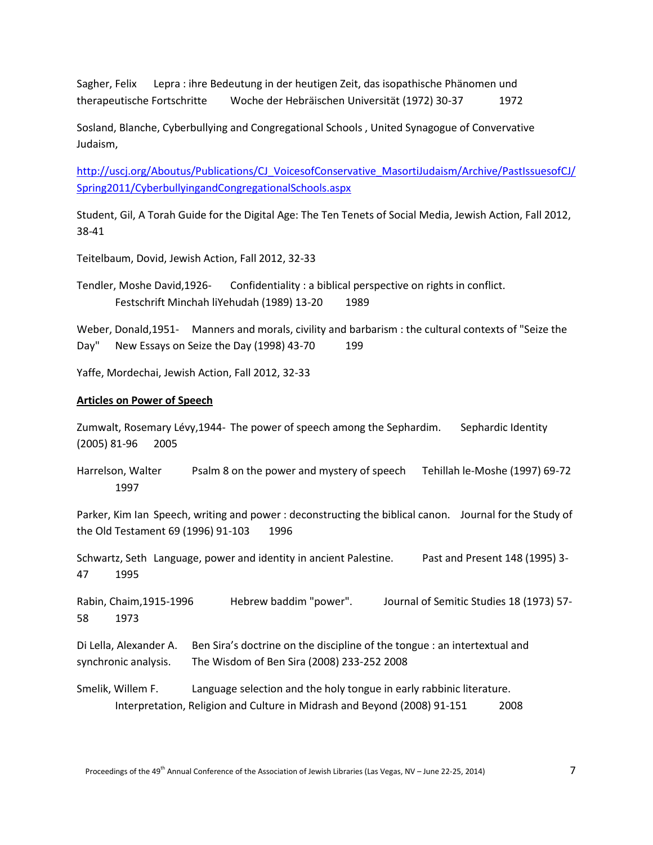Sagher, Felix Lepra : ihre Bedeutung in der heutigen Zeit, das isopathische Phänomen und therapeutische Fortschritte Woche der Hebräischen Universität (1972) 30-37 1972

Sosland, Blanche, Cyberbullying and Congregational Schools , United Synagogue of Convervative Judaism,

[http://uscj.org/Aboutus/Publications/CJ\\_VoicesofConservative\\_MasortiJudaism/Archive/PastIssuesofCJ/](http://uscj.org/Aboutus/Publications/CJ_VoicesofConservative_MasortiJudaism/Archive/PastIssuesofCJ/Spring2011/CyberbullyingandCongregationalSchools.aspx) [Spring2011/CyberbullyingandCongregationalSchools.aspx](http://uscj.org/Aboutus/Publications/CJ_VoicesofConservative_MasortiJudaism/Archive/PastIssuesofCJ/Spring2011/CyberbullyingandCongregationalSchools.aspx)

Student, Gil, A Torah Guide for the Digital Age: The Ten Tenets of Social Media, Jewish Action, Fall 2012, 38-41

Teitelbaum, Dovid, Jewish Action, Fall 2012, 32-33

Tendler, Moshe David,1926- Confidentiality : a biblical perspective on rights in conflict. Festschrift Minchah liYehudah (1989) 13-20 1989

Weber, Donald,1951- Manners and morals, civility and barbarism : the cultural contexts of "Seize the Day" New Essays on Seize the Day (1998) 43-70 199

Yaffe, Mordechai, Jewish Action, Fall 2012, 32-33

### **Articles on Power of Speech**

Zumwalt, Rosemary Lévy,1944- The power of speech among the Sephardim. Sephardic Identity (2005) 81-96 2005

Harrelson, Walter Psalm 8 on the power and mystery of speech Tehillah le-Moshe (1997) 69-72 1997

Parker, Kim Ian Speech, writing and power : deconstructing the biblical canon. Journal for the Study of the Old Testament 69 (1996) 91-103 1996

Schwartz, Seth Language, power and identity in ancient Palestine. Past and Present 148 (1995) 3-47 1995

Rabin, Chaim,1915-1996 Hebrew baddim "power". Journal of Semitic Studies 18 (1973) 57- 58 1973

Di Lella, Alexander A. Ben Sira's doctrine on the discipline of the tongue : an intertextual and synchronic analysis. The Wisdom of Ben Sira (2008) 233-252 2008

Smelik, Willem F. Language selection and the holy tongue in early rabbinic literature. Interpretation, Religion and Culture in Midrash and Beyond (2008) 91-151 2008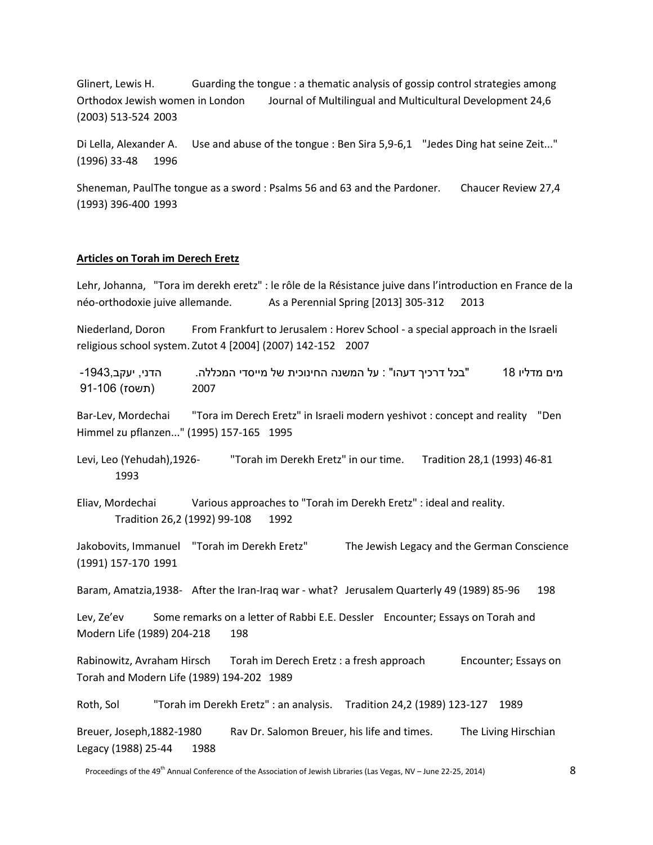Glinert, Lewis H. Guarding the tongue : a thematic analysis of gossip control strategies among Orthodox Jewish women in London Journal of Multilingual and Multicultural Development 24,6 (2003) 513-524 2003

Di Lella, Alexander A. Use and abuse of the tongue : Ben Sira 5,9-6,1 "Jedes Ding hat seine Zeit..." (1996) 33-48 1996

Sheneman, PaulThe tongue as a sword : Psalms 56 and 63 and the Pardoner. Chaucer Review 27,4 (1993) 396-400 1993

#### **Articles on Torah im Derech Eretz**

Lehr, Johanna, "Tora im derekh eretz" : le rôle de la Résistance juive dans l'introduction en France de la néo-orthodoxie juive allemande. As a Perennial Spring [2013] 305-312 2013

Niederland, Doron From Frankfurt to Jerusalem : Horev School - a special approach in the Israeli religious school system. Zutot 4 [2004] (2007) 142-152 2007

מים מדליו 18 "בכל דרכיך דעהו" : על המשנה החינוכית של מייסדי המכללה. הדני, יעקב-1943, 91-106 (תשסז) 2007

Bar-Lev, Mordechai "Tora im Derech Eretz" in Israeli modern yeshivot : concept and reality "Den Himmel zu pflanzen..." (1995) 157-165 1995

Levi, Leo (Yehudah),1926- "Torah im Derekh Eretz" in our time. Tradition 28,1 (1993) 46-81 1993

Eliav, Mordechai Various approaches to "Torah im Derekh Eretz" : ideal and reality. Tradition 26,2 (1992) 99-108 1992

Jakobovits, Immanuel "Torah im Derekh Eretz" The Jewish Legacy and the German Conscience (1991) 157-170 1991

Baram, Amatzia,1938- After the Iran-Iraq war - what? Jerusalem Quarterly 49 (1989) 85-96 198

Lev, Ze'ev Some remarks on a letter of Rabbi E.E. Dessler Encounter; Essays on Torah and Modern Life (1989) 204-218 198

Rabinowitz, Avraham Hirsch Torah im Derech Eretz : a fresh approach Encounter; Essays on Torah and Modern Life (1989) 194-202 1989

Roth, Sol "Torah im Derekh Eretz" : an analysis. Tradition 24,2 (1989) 123-127 1989

Breuer, Joseph,1882-1980 Rav Dr. Salomon Breuer, his life and times. The Living Hirschian Legacy (1988) 25-44 1988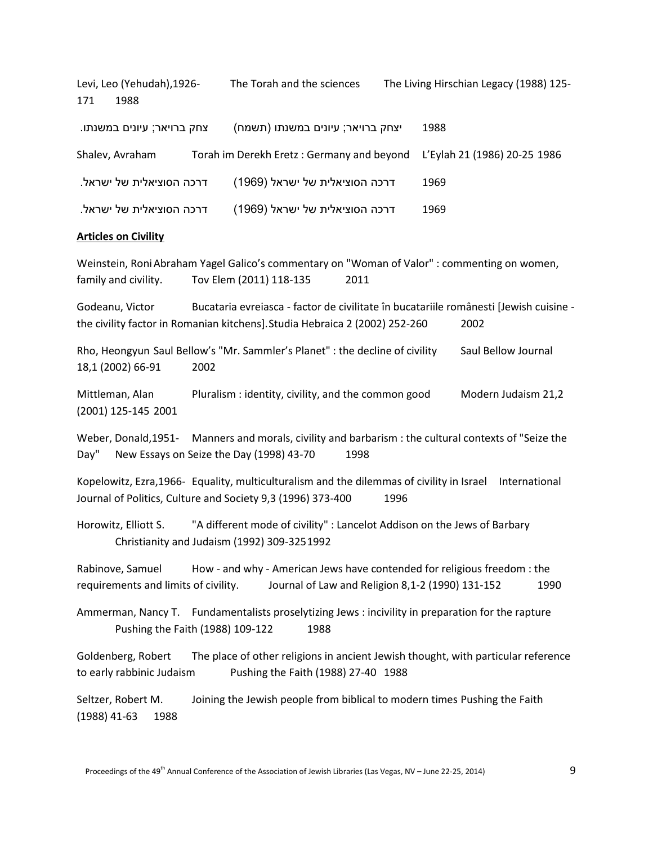Levi, Leo (Yehudah),1926- The Torah and the sciences The Living Hirschian Legacy (1988) 125- 171 1988

| צחק ברויאר; עיונים במשנתו. | יצחק ברויאר; עיונים במשנתו (תשמח)                                      | 1988 |
|----------------------------|------------------------------------------------------------------------|------|
| Shalev, Avraham            | Torah im Derekh Eretz: Germany and beyond L'Eylah 21 (1986) 20-25 1986 |      |
| דרכה הסוציאלית של ישראל.   | דרכה הסוציאלית של ישראל (1969)                                         | 1969 |
| דרכה הסוציאלית של ישראל.   | דרכה הסוציאלית של ישראל (1969)                                         | 1969 |

#### **Articles on Civility**

Weinstein, RoniAbraham Yagel Galico's commentary on "Woman of Valor" : commenting on women, family and civility. Tov Elem (2011) 118-135 2011

Godeanu, Victor Bucataria evreiasca - factor de civilitate în bucatariile românesti [Jewish cuisine the civility factor in Romanian kitchens].Studia Hebraica 2 (2002) 252-260 2002

Rho, Heongyun Saul Bellow's "Mr. Sammler's Planet" : the decline of civility Saul Bellow Journal 18,1 (2002) 66-91 2002

Mittleman, Alan Pluralism : identity, civility, and the common good Modern Judaism 21,2 (2001) 125-145 2001

Weber, Donald,1951- Manners and morals, civility and barbarism : the cultural contexts of "Seize the Day" New Essays on Seize the Day (1998) 43-70 1998

Kopelowitz, Ezra,1966- Equality, multiculturalism and the dilemmas of civility in Israel International Journal of Politics, Culture and Society 9,3 (1996) 373-400 1996

Horowitz, Elliott S. "A different mode of civility" : Lancelot Addison on the Jews of Barbary Christianity and Judaism (1992) 309-3251992

Rabinove, Samuel How - and why - American Jews have contended for religious freedom : the requirements and limits of civility. Journal of Law and Religion 8,1-2 (1990) 131-152 1990

Ammerman, Nancy T. Fundamentalists proselytizing Jews : incivility in preparation for the rapture Pushing the Faith (1988) 109-122 1988

Goldenberg, Robert The place of other religions in ancient Jewish thought, with particular reference to early rabbinic Judaism Pushing the Faith (1988) 27-40 1988

Seltzer, Robert M. Joining the Jewish people from biblical to modern times Pushing the Faith (1988) 41-63 1988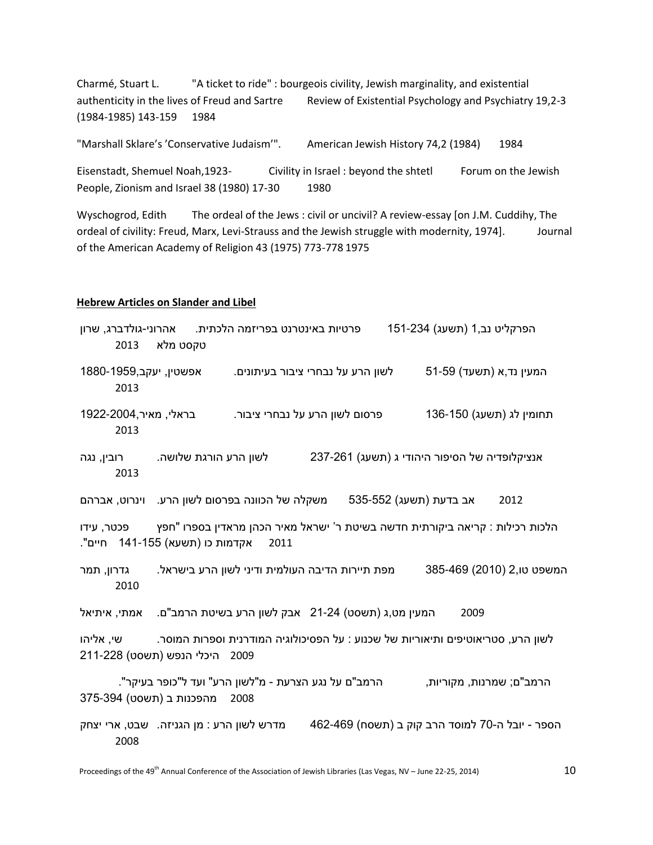Charmé, Stuart L. "A ticket to ride" : bourgeois civility, Jewish marginality, and existential authenticity in the lives of Freud and Sartre Review of Existential Psychology and Psychiatry 19,2-3 (1984-1985) 143-159 1984

"Marshall Sklare's 'Conservative Judaism'". American Jewish History 74,2 (1984) 1984

Eisenstadt, Shemuel Noah,1923- Civility in Israel : beyond the shtetl Forum on the Jewish People, Zionism and Israel 38 (1980) 17-30 1980

Wyschogrod, Edith The ordeal of the Jews : civil or uncivil? A review-essay [on J.M. Cuddihy, The ordeal of civility: Freud, Marx, Levi-Strauss and the Jewish struggle with modernity, 1974]. Journal of the American Academy of Religion 43 (1975) 773-778 1975

### **Hebrew Articles on Slander and Libel**

| 2013                                                                                                                                   | פרטיות באינטרנט בפריזמה הלכתית.   אהרוני-גולדברג, שרון<br>טקסט מלא                    |  |                                                 | הפרקליט נב,1 (תשעג) 151-234                                                                |                           |
|----------------------------------------------------------------------------------------------------------------------------------------|---------------------------------------------------------------------------------------|--|-------------------------------------------------|--------------------------------------------------------------------------------------------|---------------------------|
| אפשטין, יעקב,1959-1880<br>2013                                                                                                         |                                                                                       |  | לשון הרע על נבחרי ציבור בעיתונים.               |                                                                                            | 51-59 (תשעד) המעין נד,א   |
| בראלי, מאיר,2004-1922<br>2013                                                                                                          |                                                                                       |  | פרסום לשון הרע על נבחרי ציבור.                  |                                                                                            | תחומין לג (תשעג) 136-150  |
| רובין, נגה<br>2013                                                                                                                     | לשון הרע הורגת שלושה.                                                                 |  |                                                 | אנציקלופדיה של הסיפור היהודי ג (תשעג) 237-261                                              |                           |
|                                                                                                                                        |                                                                                       |  |                                                 | אב בדעת (תשעג) 535-552       משקלה של הכוונה בפרסום לשון הרע.     וינרוט, אברהם            | 2012                      |
| הלכות רכילות : קריאה ביקורתית חדשה בשיטת ר' ישראל מאיר הכהן מראדין בספרו "חפץ<br>פכטר, עידו<br>אקדמות כו (תשעא) 141-155 חיים".<br>2011 |                                                                                       |  |                                                 |                                                                                            |                           |
| גדרון, תמר<br>2010                                                                                                                     |                                                                                       |  | מפת תיירות הדיבה העולמית ודיני לשון הרע בישראל. |                                                                                            | המשפט טו,2 (2010) 385-469 |
| אמתי, איתיאל                                                                                                                           | המעין מט,ג (תשסט) 21-24 - אבק לשון הרע בשיטת הרמב"ם.                                  |  |                                                 | 2009                                                                                       |                           |
| לשון הרע, סטריאוטיפים ותיאוריות של שכנוע : על הפסיכולוגיה המודרנית וספרות המוסר.<br>שי, אליהו<br>2009 היכלי הנפש (תשסט) 211-228        |                                                                                       |  |                                                 |                                                                                            |                           |
|                                                                                                                                        | הרמב"ם על נגע הצרעת - מ"לשון הרע" ועד ל"כופר בעיקר".<br>2008 מהפכנות ב (תשסט) 375-394 |  |                                                 |                                                                                            | הרמב"ם; שמרנות, מקוריות,  |
| 2008                                                                                                                                   |                                                                                       |  |                                                 | הספר - יובל ה-70 למוסד הרב קוק ב (תשסח) 462-469 – מדרש לשון הרע : מן הגניזה. שבט, ארי יצחק |                           |
|                                                                                                                                        |                                                                                       |  |                                                 |                                                                                            |                           |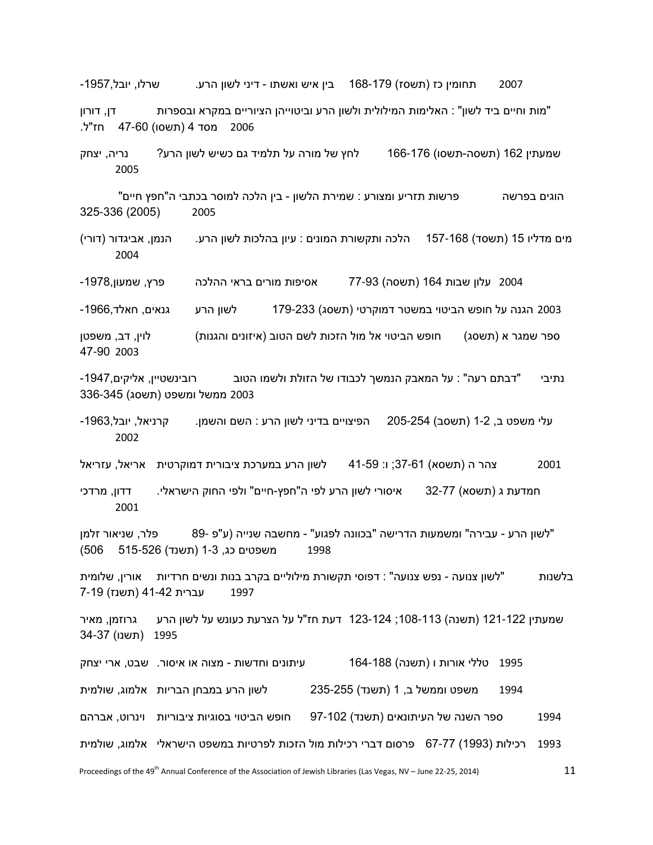-1957 תחומין כז (תשסז) 178-168 בין איש ואשתו - דיני לשון הרע. שרלו, יובל,1957

"מות וחיים ביד לשון" : האלימות המילולית ולשון הרע וביטוייהן הציוריים במקרא ובספרות דן, דורון 2006 מסד 4 )תשסו( 47-60 חז"ל.

שמעתין 162 (תשסה-תשסו) 166-176 לחץ של מורה על תלמיד גם כשיש לשון הרע? נריה, יצחק 2005

הוגים בפרשה פרשות תזריע ומצורע : שמירת הלשון - בין הלכה למוסר בכתבי ה"חפץ חיים" 325-336 (2005) 2005

מים מדליו 15 (תשסד) 157-168 – הלכה ותקשורת המונים : עיון בהלכות לשון הרע. – הנמן, אביגדור (דורי) 2004

2004 עלון שבות 164 )תשסה( 77-93 אסיפות מורים בראי ההלכה פרץ, שמעון-1978,

2003 הגנה על חופש הביטוי במשטר דמוקרטי (תשסג) 179-233  $\,$ לשון הרע  $\,$ גנאים, חאלד,1966-

ספר שמגר א (תשסג) חופש הביטוי אל מול הזכות לשם הטוב (איזונים והגנות) לוין, דב, משפטן 47-90 2003

נתיבי "דבתם רעה" : על המאבק הנמשך לכבודו של הזולת ולשמו הטוב רובינשטיין, אליקים-1947, 2003 ממשל ומשפט (תשסג*)* 336-345

עלי משפט ב, 1-2 (תשסב) 254-205 – הפיצויים בדיני לשון הרע : השם והשמן.  $\qquad \qquad$  קרניאל, יובל,1963-2002

2001 צהר ה )תשסא( 37-61; ו: 41-59 לשון הרע במערכת ציבורית דמוקרטית אריאל, עזריאל

חמדעת ג (תשסא) 32-77 איסורי לשון הרע לפי ה"חפץ-חיים" ולפי החוק הישראלי. דדון, מרדכי 2001

"לשון הרע - עבירה" ומשמעות הדרישה "בכוונה לפגוע" - מחשבה שנייה )ע"פ 89- פלר, שניאור זלמן 1998 משפטים כג, 1-3 )תשנד( 515-526 506(

בלשנות "לשון צנועה - נפש צנועה" : דפוסי תקשורת מילוליים בקרב בנות ונשים חרדיות אורין, שלומית 1997 עברית 41-42 (תשנז) 7-19

שמעתין 122-122 (תשנה) 113-103; 124-123 דעת חז"ל על הצרעת כעונש על לשון הרע  $\;$ גרוזמן, מאיר  $\;$ 1995 (תשנו) 1995

טללי אורות ו (תשנה) 164-188 עיתונים וחדשות - מצוה או איסור. שבט, ארי יצחק  $1995$  משפט וממשל ב, 1 )תשנד( 235-255 לשון הרע במבחן הבריות אלמוג, שולמית ספר השנה של העיתונאים )תשנד( 97-102 חופש הביטוי בסוגיות ציבוריות וינרוט, אברהם 993 רכילות )1993( 67-77 פרסום דברי רכילות מול הזכות לפרטיות במשפט הישראלי אלמוג, שולמית